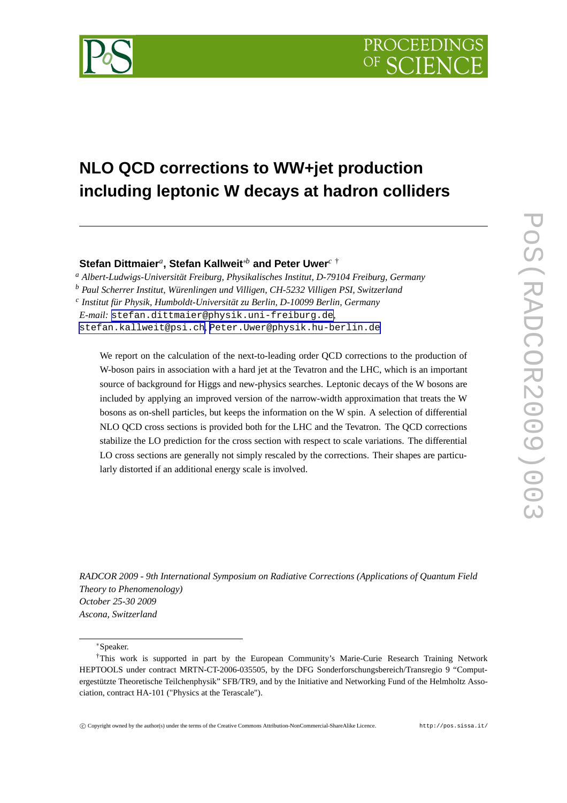

# **NLO QCD corrections to WW+jet production including leptonic W decays at hadron colliders**

**Stefan Dittmaier***<sup>a</sup>* **, Stefan Kallweit**∗*<sup>b</sup>* **and Peter Uwer***<sup>c</sup>* †

*<sup>a</sup> Albert-Ludwigs-Universität Freiburg, Physikalisches Institut, D-79104 Freiburg, Germany*

*<sup>b</sup> Paul Scherrer Institut, Würenlingen und Villigen, CH-5232 Villigen PSI, Switzerland*

*c Institut für Physik, Humboldt-Universität zu Berlin, D-10099 Berlin, Germany*

*E-mail:* [stefan.dittmaier@physik.uni-freiburg.de](mailto:stefan.dittmaier@physik.uni-freiburg.de)*,*

[stefan.kallweit@psi.ch](mailto:stefan.kallweit@psi.ch)*,* [Peter.Uwer@physik.hu-berlin.de](mailto:Peter.Uwer@physik.hu-berlin.de)

We report on the calculation of the next-to-leading order QCD corrections to the production of W-boson pairs in association with a hard jet at the Tevatron and the LHC, which is an important source of background for Higgs and new-physics searches. Leptonic decays of the W bosons are included by applying an improved version of the narrow-width approximation that treats the W bosons as on-shell particles, but keeps the information on the W spin. A selection of differential NLO QCD cross sections is provided both for the LHC and the Tevatron. The QCD corrections stabilize the LO prediction for the cross section with respect to scale variations. The differential LO cross sections are generally not simply rescaled by the corrections. Their shapes are particularly distorted if an additional energy scale is involved.

*RADCOR 2009 - 9th International Symposium on Radiative Corrections (Applications of Quantum Field Theory to Phenomenology) October 25-30 2009 Ascona, Switzerland*

<sup>∗</sup>Speaker.

<sup>†</sup>This work is supported in part by the European Community's Marie-Curie Research Training Network HEPTOOLS under contract MRTN-CT-2006-035505, by the DFG Sonderforschungsbereich/Transregio 9 "Computergestützte Theoretische Teilchenphysik" SFB/TR9, and by the Initiative and Networking Fund of the Helmholtz Association, contract HA-101 ("Physics at the Terascale").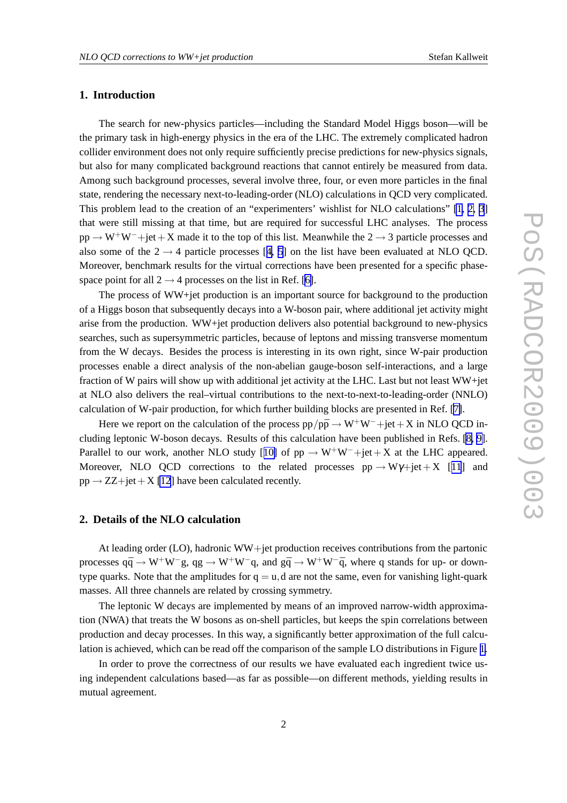# **1. Introduction**

The search for new-physics particles—including the Standard Model Higgs boson—will be the primary task in high-energy physics in the era of the LHC. The extremely complicated hadron collider environment does not only require sufficiently precise predictions for new-physics signals, but also for many complicated background reactions that cannot entirely be measured from data. Among such background processes, several involve three, four, or even more particles in the final state, rendering the necessary next-to-leading-order (NLO) calculations in QCD very complicated. This problem lead to the creation of an "experimenters' wishlist for NLO calculations" [\[1, 2, 3](#page-4-0)] that were still missing at that time, but are required for successful LHC analyses. The process  $pp \rightarrow W^{+}W^{-}+jet+X$  made it to the top of this list. Meanwhile the 2  $\rightarrow$  3 particle processes and also some of the  $2 \rightarrow 4$  $2 \rightarrow 4$  particle processes [4, [5](#page-4-0)] on the list have been evaluated at NLO QCD. Moreover, benchmark results for the virtual corrections have been presented for a specific phasespace point for all  $2 \rightarrow 4$  processes on the list in Ref. [\[6\]](#page-5-0).

The process of WW+jet production is an important source for background to the production of a Higgs boson that subsequently decays into a W-boson pair, where additional jet activity might arise from the production. WW+jet production delivers also potential background to new-physics searches, such as supersymmetric particles, because of leptons and missing transverse momentum from the W decays. Besides the process is interesting in its own right, since W-pair production processes enable a direct analysis of the non-abelian gauge-boson self-interactions, and a large fraction of W pairs will show up with additional jet activity at the LHC. Last but not least WW+jet at NLO also delivers the real–virtual contributions to the next-to-next-to-leading-order (NNLO) calculation of W-pair production, for which further building blocks are presented in Ref. [\[7\]](#page-5-0).

Here we report on the calculation of the process  $pp/p\bar{p} \rightarrow W^+W^-+jet+X$  in NLO QCD including leptonic W-boson decays. Results of this calculation have been published in Refs. [\[8, 9\]](#page-5-0). Parallel to our work, another NLO study [[10\]](#page-5-0) of  $pp \rightarrow W^+W^-+jet+X$  at the LHC appeared. Moreover, NLO QCD corrections to the related processes  $pp \rightarrow W\gamma + jet + X$  [[11](#page-5-0)] and  $pp \rightarrow ZZ + jet + X$  [\[12](#page-5-0)] have been calculated recently.

# **2. Details of the NLO calculation**

At leading order (LO), hadronic WW+jet production receives contributions from the partonic processes  $q\bar{q} \to W^+W^-g$ ,  $qg \to W^+W^-q$ , and  $q\bar{q} \to W^+W^-q$ , where q stands for up- or downtype quarks. Note that the amplitudes for  $q = u$ , d are not the same, even for vanishing light-quark masses. All three channels are related by crossing symmetry.

The leptonic W decays are implemented by means of an improved narrow-width approximation (NWA) that treats the W bosons as on-shell particles, but keeps the spin correlations between production and decay processes. In this way, a significantly better approximation of the full calculation is achieved, which can be read off the comparison of the sample LO distributions in Figure [1](#page-2-0).

In order to prove the correctness of our results we have evaluated each ingredient twice using independent calculations based—as far as possible—on different methods, yielding results in mutual agreement.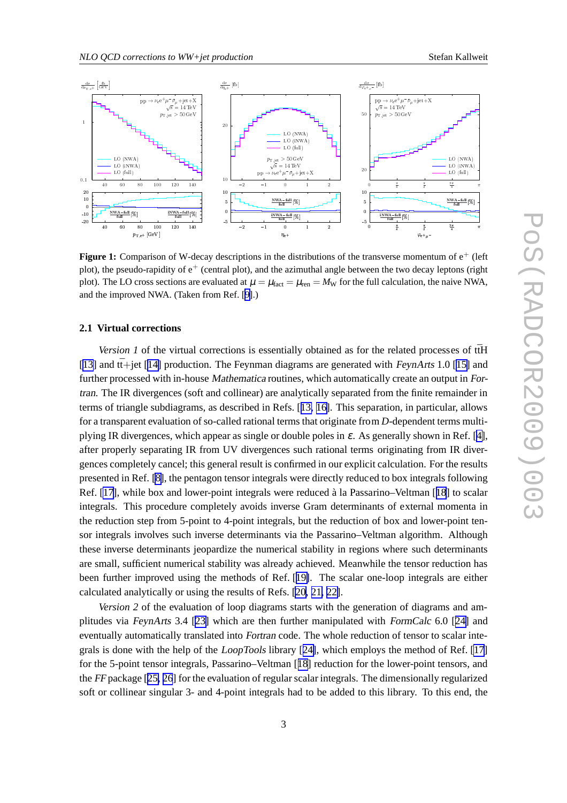<span id="page-2-0"></span>

**Figure 1:** Comparison of W-decay descriptions in the distributions of the transverse momentum of  $e^+$  (left plot), the pseudo-rapidity of  $e^+$  (central plot), and the azimuthal angle between the two decay leptons (right plot). The LO cross sections are evaluated at  $\mu = \mu_{\text{fact}} = \mu_{\text{ren}} = M_{\text{W}}$  for the full calculation, the naive NWA, and the improved NWA. (Taken from Ref. [\[9\]](#page-5-0).)

#### **2.1 Virtual corrections**

*Version 1* of the virtual corrections is essentially obtained as for the related processes of  $t\bar{t}H$ [[13\]](#page-5-0) and  $t\bar{t}$ +jet [[14\]](#page-5-0) production. The Feynman diagrams are generated with FeynArts 1.0 [[15\]](#page-5-0) and further processed with in-house Mathematica routines, which automatically create an output in Fortran. The IR divergences (soft and collinear) are analytically separated from the finite remainder in terms of triangle subdiagrams, as described in Refs. [[13, 16\]](#page-5-0). This separation, in particular, allows for a transparent evaluation of so-called rational terms that originate from *D*-dependent terms multiplying IR divergences, which appear as single or double poles in  $\varepsilon$ . As generally shown in Ref. [\[4\]](#page-4-0), after properly separating IR from UV divergences such rational terms originating from IR divergences completely cancel; this general result is confirmed in our explicit calculation. For the results presented in Ref. [\[8\]](#page-5-0), the pentagon tensor integrals were directly reduced to box integrals following Ref. [\[17](#page-5-0)], while box and lower-point integrals were reduced à la Passarino–Veltman [[18](#page-5-0)] to scalar integrals. This procedure completely avoids inverse Gram determinants of external momenta in the reduction step from 5-point to 4-point integrals, but the reduction of box and lower-point tensor integrals involves such inverse determinants via the Passarino–Veltman algorithm. Although these inverse determinants jeopardize the numerical stability in regions where such determinants are small, sufficient numerical stability was already achieved. Meanwhile the tensor reduction has been further improved using the methods of Ref. [[19\]](#page-5-0). The scalar one-loop integrals are either calculated analytically or using the results of Refs. [\[20, 21, 22\]](#page-5-0).

*Version 2* of the evaluation of loop diagrams starts with the generation of diagrams and amplitudes via FeynArts 3.4 [[23\]](#page-5-0) which are then further manipulated with FormCalc 6.0 [[24\]](#page-5-0) and eventually automatically translated into Fortran code. The whole reduction of tensor to scalar integrals is done with the help of the LoopTools library [[24\]](#page-5-0), which employs the method of Ref. [\[17](#page-5-0)] for the 5-point tensor integrals, Passarino–Veltman [[18](#page-5-0)] reduction for the lower-point tensors, and the FF package [[25, 26](#page-5-0)] for the evaluation of regular scalar integrals. The dimensionally regularized soft or collinear singular 3- and 4-point integrals had to be added to this library. To this end, the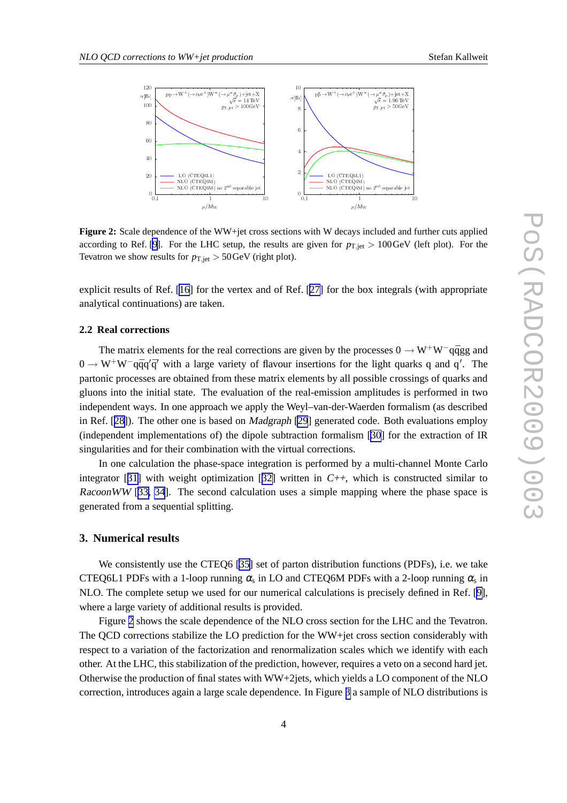

**Figure 2:** Scale dependence of the WW+jet cross sections with W decays included and further cuts applied according to Ref. [\[9](#page-5-0)]. For the LHC setup, the results are given for  $p_{T,\text{jet}} > 100 \,\text{GeV}$  (left plot). For the Tevatron we show results for  $p_{\text{T},\text{iet}} > 50 \,\text{GeV}$  (right plot).

explicit results of Ref. [\[16](#page-5-0)] for the vertex and of Ref. [[27\]](#page-5-0) for the box integrals (with appropriate analytical continuations) are taken.

## **2.2 Real corrections**

The matrix elements for the real corrections are given by the processes  $0 \rightarrow W^+W^-$ qqqg and  $0 \to W^+W^-$ qqq'q' with a large variety of flavour insertions for the light quarks q and q'. The partonic processes are obtained from these matrix elements by all possible crossings of quarks and gluons into the initial state. The evaluation of the real-emission amplitudes is performed in two independent ways. In one approach we apply the Weyl–van-der-Waerden formalism (as described in Ref. [[28\]](#page-5-0)). The other one is based on Madgraph [\[29](#page-5-0)] generated code. Both evaluations employ (independent implementations of) the dipole subtraction formalism [\[30\]](#page-5-0) for the extraction of IR singularities and for their combination with the virtual corrections.

In one calculation the phase-space integration is performed by a multi-channel Monte Carlo integrator [[31\]](#page-5-0) with weight optimization [[32\]](#page-5-0) written in  $C_{++}$ , which is constructed similar to RacoonWW [[33, 34](#page-5-0)]. The second calculation uses a simple mapping where the phase space is generated from a sequential splitting.

## **3. Numerical results**

We consistently use the CTEO6 [\[35\]](#page-5-0) set of parton distribution functions (PDFs), i.e. we take CTEQ6L1 PDFs with a 1-loop running  $\alpha_{\rm s}$  in LO and CTEQ6M PDFs with a 2-loop running  $\alpha_{\rm s}$  in NLO. The complete setup we used for our numerical calculations is precisely defined in Ref. [\[9\]](#page-5-0), where a large variety of additional results is provided.

Figure 2 shows the scale dependence of the NLO cross section for the LHC and the Tevatron. The QCD corrections stabilize the LO prediction for the WW+jet cross section considerably with respect to a variation of the factorization and renormalization scales which we identify with each other. At the LHC, this stabilization of the prediction, however, requires a veto on a second hard jet. Otherwise the production of final states with WW+2jets, which yields a LO component of the NLO correction, introduces again a large scale dependence. In Figure [3](#page-4-0) a sample of NLO distributions is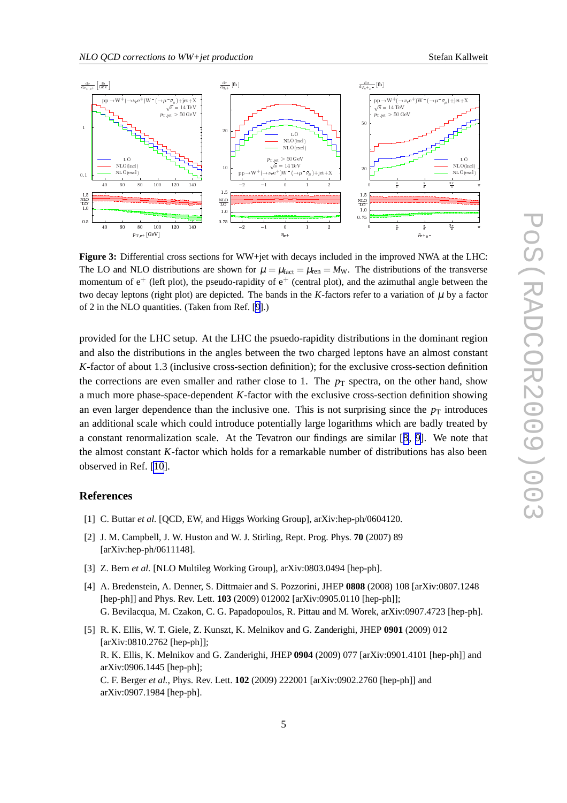<span id="page-4-0"></span>

**Figure 3:** Differential cross sections for WW+jet with decays included in the improved NWA at the LHC: The LO and NLO distributions are shown for  $\mu = \mu_{\text{fact}} = \mu_{\text{ren}} = M_{\text{W}}$ . The distributions of the transverse momentum of  $e^+$  (left plot), the pseudo-rapidity of  $e^+$  (central plot), and the azimuthal angle between the two decay leptons (right plot) are depicted. The bands in the  $K$ -factors refer to a variation of  $\mu$  by a factor of 2 in the NLO quantities. (Taken from Ref. [\[9](#page-5-0)].)

provided for the LHC setup. At the LHC the psuedo-rapidity distributions in the dominant region and also the distributions in the angles between the two charged leptons have an almost constant *K*-factor of about 1.3 (inclusive cross-section definition); for the exclusive cross-section definition the corrections are even smaller and rather close to 1. The  $p<sub>T</sub>$  spectra, on the other hand, show a much more phase-space-dependent *K*-factor with the exclusive cross-section definition showing an even larger dependence than the inclusive one. This is not surprising since the  $p<sub>T</sub>$  introduces an additional scale which could introduce potentially large logarithms which are badly treated by a constant renormalization scale. At the Tevatron our findings are similar [[8](#page-5-0), [9](#page-5-0)]. We note that the almost constant *K*-factor which holds for a remarkable number of distributions has also been observed in Ref. [\[10](#page-5-0)].

### **References**

- [1] C. Buttar *et al.* [QCD, EW, and Higgs Working Group], arXiv:hep-ph/0604120.
- [2] J. M. Campbell, J. W. Huston and W. J. Stirling, Rept. Prog. Phys. **70** (2007) 89 [arXiv:hep-ph/0611148].
- [3] Z. Bern *et al.* [NLO Multileg Working Group], arXiv:0803.0494 [hep-ph].
- [4] A. Bredenstein, A. Denner, S. Dittmaier and S. Pozzorini, JHEP **0808** (2008) 108 [arXiv:0807.1248 [hep-ph]] and Phys. Rev. Lett. **103** (2009) 012002 [arXiv:0905.0110 [hep-ph]]; G. Bevilacqua, M. Czakon, C. G. Papadopoulos, R. Pittau and M. Worek, arXiv:0907.4723 [hep-ph].
- [5] R. K. Ellis, W. T. Giele, Z. Kunszt, K. Melnikov and G. Zanderighi, JHEP **0901** (2009) 012 [arXiv:0810.2762 [hep-ph]]; R. K. Ellis, K. Melnikov and G. Zanderighi, JHEP **0904** (2009) 077 [arXiv:0901.4101 [hep-ph]] and arXiv:0906.1445 [hep-ph]; C. F. Berger *et al.*, Phys. Rev. Lett. **102** (2009) 222001 [arXiv:0902.2760 [hep-ph]] and arXiv:0907.1984 [hep-ph].